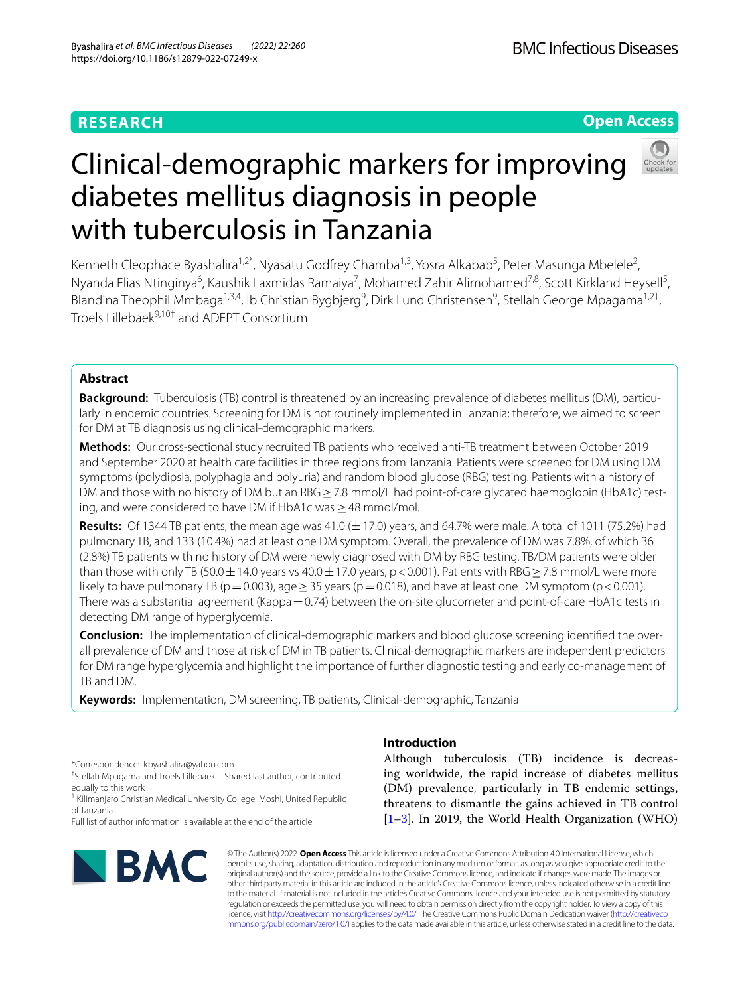## **RESEARCH**

## **Open Access**

# Clinical-demographic markers for improving diabetes mellitus diagnosis in people with tuberculosis in Tanzania

Kenneth Cleophace Byashalira<sup>1,2\*</sup>, Nyasatu Godfrey Chamba<sup>1,3</sup>, Yosra Alkabab<sup>5</sup>, Peter Masunga Mbelele<sup>2</sup>, Nyanda Elias Ntinginya<sup>6</sup>, Kaushik Laxmidas Ramaiya<sup>7</sup>, Mohamed Zahir Alimohamed<sup>7,8</sup>, Scott Kirkland Heysell<sup>5</sup>, Blandina Theophil Mmbaga<sup>1,3,4</sup>, Ib Christian Bygbjerg<sup>9</sup>, Dirk Lund Christensen<sup>9</sup>, Stellah George Mpagama<sup>1,2†</sup>, Troels Lillebaek<sup>9,10†</sup> and ADEPT Consortium

## **Abstract**

**Background:** Tuberculosis (TB) control is threatened by an increasing prevalence of diabetes mellitus (DM), particularly in endemic countries. Screening for DM is not routinely implemented in Tanzania; therefore, we aimed to screen for DM at TB diagnosis using clinical-demographic markers.

**Methods:** Our cross-sectional study recruited TB patients who received anti-TB treatment between October 2019 and September 2020 at health care facilities in three regions from Tanzania. Patients were screened for DM using DM symptoms (polydipsia, polyphagia and polyuria) and random blood glucose (RBG) testing. Patients with a history of DM and those with no history of DM but an RBG ≥ 7.8 mmol/L had point-of-care glycated haemoglobin (HbA1c) testing, and were considered to have DM if HbA1c was  $\geq$  48 mmol/mol.

**Results:** Of 1344 TB patients, the mean age was 41.0 (±17.0) years, and 64.7% were male. A total of 1011 (75.2%) had pulmonary TB, and 133 (10.4%) had at least one DM symptom. Overall, the prevalence of DM was 7.8%, of which 36 (2.8%) TB patients with no history of DM were newly diagnosed with DM by RBG testing. TB/DM patients were older than those with only TB (50.0  $\pm$  14.0 years vs 40.0  $\pm$  17.0 years, p < 0.001). Patients with RBG  $\geq$  7.8 mmol/L were more likely to have pulmonary TB ( $p=0.003$ ), age  $\geq$  35 years ( $p=0.018$ ), and have at least one DM symptom ( $p<0.001$ ). There was a substantial agreement (Kappa = 0.74) between the on-site glucometer and point-of-care HbA1c tests in detecting DM range of hyperglycemia.

**Conclusion:** The implementation of clinical-demographic markers and blood glucose screening identifed the overall prevalence of DM and those at risk of DM in TB patients. Clinical-demographic markers are independent predictors for DM range hyperglycemia and highlight the importance of further diagnostic testing and early co-management of TB and DM.

**Keywords:** Implementation, DM screening, TB patients, Clinical-demographic, Tanzania

\*Correspondence: kbyashalira@yahoo.com

† Stellah Mpagama and Troels Lillebaek—Shared last author, contributed equally to this work

<sup>1</sup> Kilimanjaro Christian Medical University College, Moshi, United Republic of Tanzania

Full list of author information is available at the end of the article



## **Introduction**

Although tuberculosis (TB) incidence is decreasing worldwide, the rapid increase of diabetes mellitus (DM) prevalence, particularly in TB endemic settings, threatens to dismantle the gains achieved in TB control [[1–](#page-8-0)[3\]](#page-8-1). In 2019, the World Health Organization (WHO)

© The Author(s) 2022. **Open Access** This article is licensed under a Creative Commons Attribution 4.0 International License, which permits use, sharing, adaptation, distribution and reproduction in any medium or format, as long as you give appropriate credit to the original author(s) and the source, provide a link to the Creative Commons licence, and indicate if changes were made. The images or other third party material in this article are included in the article's Creative Commons licence, unless indicated otherwise in a credit line to the material. If material is not included in the article's Creative Commons licence and your intended use is not permitted by statutory regulation or exceeds the permitted use, you will need to obtain permission directly from the copyright holder. To view a copy of this licence, visit [http://creativecommons.org/licenses/by/4.0/.](http://creativecommons.org/licenses/by/4.0/) The Creative Commons Public Domain Dedication waiver ([http://creativeco](http://creativecommons.org/publicdomain/zero/1.0/) [mmons.org/publicdomain/zero/1.0/](http://creativecommons.org/publicdomain/zero/1.0/)) applies to the data made available in this article, unless otherwise stated in a credit line to the data.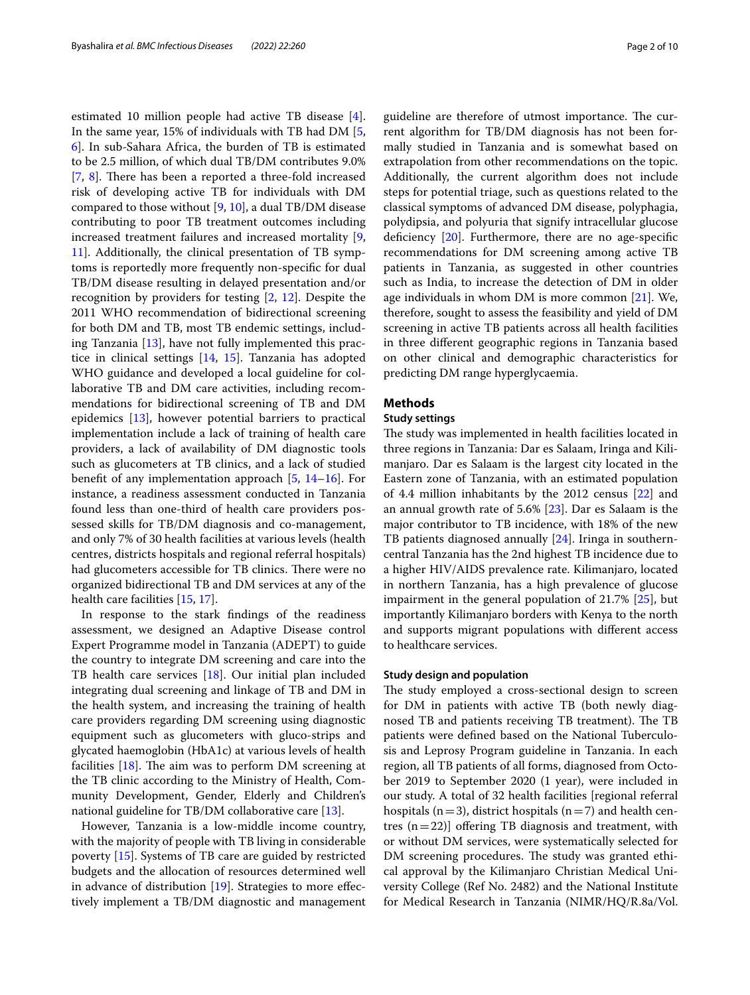estimated 10 million people had active TB disease [\[4](#page-8-2)]. In the same year, 15% of individuals with TB had DM [\[5](#page-8-3), [6\]](#page-8-4). In sub-Sahara Africa, the burden of TB is estimated to be 2.5 million, of which dual TB/DM contributes 9.0%  $[7, 8]$  $[7, 8]$  $[7, 8]$  $[7, 8]$  $[7, 8]$ . There has been a reported a three-fold increased risk of developing active TB for individuals with DM compared to those without  $[9, 10]$  $[9, 10]$  $[9, 10]$  $[9, 10]$ , a dual TB/DM disease contributing to poor TB treatment outcomes including increased treatment failures and increased mortality [\[9](#page-8-7), [11\]](#page-8-9). Additionally, the clinical presentation of TB symptoms is reportedly more frequently non-specifc for dual TB/DM disease resulting in delayed presentation and/or recognition by providers for testing [[2,](#page-8-10) [12\]](#page-8-11). Despite the 2011 WHO recommendation of bidirectional screening for both DM and TB, most TB endemic settings, including Tanzania [[13\]](#page-8-12), have not fully implemented this practice in clinical settings [\[14](#page-8-13), [15\]](#page-8-14). Tanzania has adopted WHO guidance and developed a local guideline for collaborative TB and DM care activities, including recommendations for bidirectional screening of TB and DM epidemics [[13\]](#page-8-12), however potential barriers to practical implementation include a lack of training of health care providers, a lack of availability of DM diagnostic tools such as glucometers at TB clinics, and a lack of studied beneft of any implementation approach [[5](#page-8-3), [14](#page-8-13)–[16\]](#page-8-15). For instance, a readiness assessment conducted in Tanzania found less than one-third of health care providers possessed skills for TB/DM diagnosis and co-management, and only 7% of 30 health facilities at various levels (health centres, districts hospitals and regional referral hospitals) had glucometers accessible for TB clinics. There were no organized bidirectional TB and DM services at any of the health care facilities [\[15](#page-8-14), [17\]](#page-8-16).

In response to the stark fndings of the readiness assessment, we designed an Adaptive Disease control Expert Programme model in Tanzania (ADEPT) to guide the country to integrate DM screening and care into the TB health care services [\[18](#page-8-17)]. Our initial plan included integrating dual screening and linkage of TB and DM in the health system, and increasing the training of health care providers regarding DM screening using diagnostic equipment such as glucometers with gluco-strips and glycated haemoglobin (HbA1c) at various levels of health facilities  $[18]$  $[18]$ . The aim was to perform DM screening at the TB clinic according to the Ministry of Health, Community Development, Gender, Elderly and Children's national guideline for TB/DM collaborative care [\[13](#page-8-12)].

However, Tanzania is a low-middle income country, with the majority of people with TB living in considerable poverty [[15\]](#page-8-14). Systems of TB care are guided by restricted budgets and the allocation of resources determined well in advance of distribution  $[19]$  $[19]$ . Strategies to more effectively implement a TB/DM diagnostic and management guideline are therefore of utmost importance. The current algorithm for TB/DM diagnosis has not been formally studied in Tanzania and is somewhat based on extrapolation from other recommendations on the topic. Additionally, the current algorithm does not include steps for potential triage, such as questions related to the classical symptoms of advanced DM disease, polyphagia, polydipsia, and polyuria that signify intracellular glucose deficiency  $[20]$  $[20]$ . Furthermore, there are no age-specific recommendations for DM screening among active TB patients in Tanzania, as suggested in other countries such as India, to increase the detection of DM in older age individuals in whom DM is more common [\[21](#page-8-20)]. We, therefore, sought to assess the feasibility and yield of DM screening in active TB patients across all health facilities in three diferent geographic regions in Tanzania based on other clinical and demographic characteristics for predicting DM range hyperglycaemia.

## **Methods**

### **Study settings**

The study was implemented in health facilities located in three regions in Tanzania: Dar es Salaam, Iringa and Kilimanjaro. Dar es Salaam is the largest city located in the Eastern zone of Tanzania, with an estimated population of 4.4 million inhabitants by the 2012 census [\[22](#page-8-21)] and an annual growth rate of 5.6% [[23\]](#page-8-22). Dar es Salaam is the major contributor to TB incidence, with 18% of the new TB patients diagnosed annually [\[24](#page-8-23)]. Iringa in southerncentral Tanzania has the 2nd highest TB incidence due to a higher HIV/AIDS prevalence rate. Kilimanjaro, located in northern Tanzania, has a high prevalence of glucose impairment in the general population of 21.7% [\[25](#page-8-24)], but importantly Kilimanjaro borders with Kenya to the north and supports migrant populations with diferent access to healthcare services.

#### **Study design and population**

The study employed a cross-sectional design to screen for DM in patients with active TB (both newly diagnosed TB and patients receiving TB treatment). The TB patients were defned based on the National Tuberculosis and Leprosy Program guideline in Tanzania. In each region, all TB patients of all forms, diagnosed from October 2019 to September 2020 (1 year), were included in our study. A total of 32 health facilities [regional referral hospitals ( $n=3$ ), district hospitals ( $n=7$ ) and health centres  $(n=22)$ ] offering TB diagnosis and treatment, with or without DM services, were systematically selected for DM screening procedures. The study was granted ethical approval by the Kilimanjaro Christian Medical University College (Ref No. 2482) and the National Institute for Medical Research in Tanzania (NIMR/HQ/R.8a/Vol.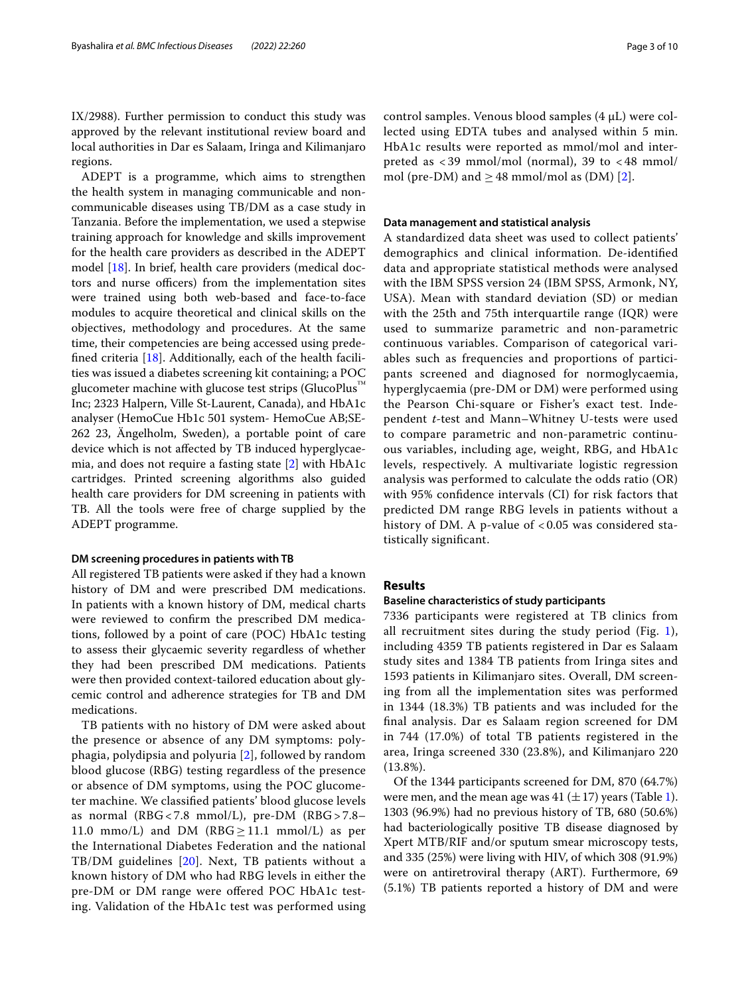IX/2988). Further permission to conduct this study was approved by the relevant institutional review board and local authorities in Dar es Salaam, Iringa and Kilimanjaro regions.

ADEPT is a programme, which aims to strengthen the health system in managing communicable and noncommunicable diseases using TB/DM as a case study in Tanzania. Before the implementation, we used a stepwise training approach for knowledge and skills improvement for the health care providers as described in the ADEPT model [[18\]](#page-8-17). In brief, health care providers (medical doctors and nurse officers) from the implementation sites were trained using both web-based and face-to-face modules to acquire theoretical and clinical skills on the objectives, methodology and procedures. At the same time, their competencies are being accessed using predefned criteria [\[18](#page-8-17)]. Additionally, each of the health facilities was issued a diabetes screening kit containing; a POC glucometer machine with glucose test strips (GlucoPlus<sup>™</sup> Inc; 2323 Halpern, Ville St-Laurent, Canada), and HbA1c analyser (HemoCue Hb1c 501 system- HemoCue AB;SE-262 23, Ängelholm, Sweden), a portable point of care device which is not afected by TB induced hyperglycaemia, and does not require a fasting state [\[2](#page-8-10)] with HbA1c cartridges. Printed screening algorithms also guided health care providers for DM screening in patients with TB. All the tools were free of charge supplied by the ADEPT programme.

#### **DM screening procedures in patients with TB**

All registered TB patients were asked if they had a known history of DM and were prescribed DM medications. In patients with a known history of DM, medical charts were reviewed to confrm the prescribed DM medications, followed by a point of care (POC) HbA1c testing to assess their glycaemic severity regardless of whether they had been prescribed DM medications. Patients were then provided context-tailored education about glycemic control and adherence strategies for TB and DM medications.

TB patients with no history of DM were asked about the presence or absence of any DM symptoms: polyphagia, polydipsia and polyuria [[2\]](#page-8-10), followed by random blood glucose (RBG) testing regardless of the presence or absence of DM symptoms, using the POC glucometer machine. We classifed patients' blood glucose levels as normal (RBG < 7.8 mmol/L), pre-DM (RBG > 7.8– 11.0 mmo/L) and DM ( $RBG \ge 11.1$  mmol/L) as per the International Diabetes Federation and the national TB/DM guidelines [[20](#page-8-19)]. Next, TB patients without a known history of DM who had RBG levels in either the pre-DM or DM range were ofered POC HbA1c testing. Validation of the HbA1c test was performed using control samples. Venous blood samples  $(4 \mu L)$  were collected using EDTA tubes and analysed within 5 min. HbA1c results were reported as mmol/mol and interpreted as  $<$  39 mmol/mol (normal), 39 to  $<$  48 mmol/ mol (pre-DM) and  $\geq$  48 mmol/mol as (DM) [[2\]](#page-8-10).

### **Data management and statistical analysis**

A standardized data sheet was used to collect patients' demographics and clinical information. De-identifed data and appropriate statistical methods were analysed with the IBM SPSS version 24 (IBM SPSS, Armonk, NY, USA). Mean with standard deviation (SD) or median with the 25th and 75th interquartile range (IQR) were used to summarize parametric and non-parametric continuous variables. Comparison of categorical variables such as frequencies and proportions of participants screened and diagnosed for normoglycaemia, hyperglycaemia (pre-DM or DM) were performed using the Pearson Chi-square or Fisher's exact test. Independent *t-*test and Mann–Whitney U-tests were used to compare parametric and non-parametric continuous variables, including age, weight, RBG, and HbA1c levels, respectively. A multivariate logistic regression analysis was performed to calculate the odds ratio (OR) with 95% confdence intervals (CI) for risk factors that predicted DM range RBG levels in patients without a history of DM. A p-value of < 0.05 was considered statistically signifcant.

#### **Results**

#### **Baseline characteristics of study participants**

7336 participants were registered at TB clinics from all recruitment sites during the study period (Fig. [1](#page-3-0)), including 4359 TB patients registered in Dar es Salaam study sites and 1384 TB patients from Iringa sites and 1593 patients in Kilimanjaro sites. Overall, DM screening from all the implementation sites was performed in 1344 (18.3%) TB patients and was included for the fnal analysis. Dar es Salaam region screened for DM in 744 (17.0%) of total TB patients registered in the area, Iringa screened 330 (23.8%), and Kilimanjaro 220 (13.8%).

Of the 1344 participants screened for DM, 870 (64.7%) were men, and the mean age was 41  $(\pm 17)$  $(\pm 17)$  $(\pm 17)$  years (Table 1). 1303 (96.9%) had no previous history of TB, 680 (50.6%) had bacteriologically positive TB disease diagnosed by Xpert MTB/RIF and/or sputum smear microscopy tests, and 335 (25%) were living with HIV, of which 308 (91.9%) were on antiretroviral therapy (ART). Furthermore, 69 (5.1%) TB patients reported a history of DM and were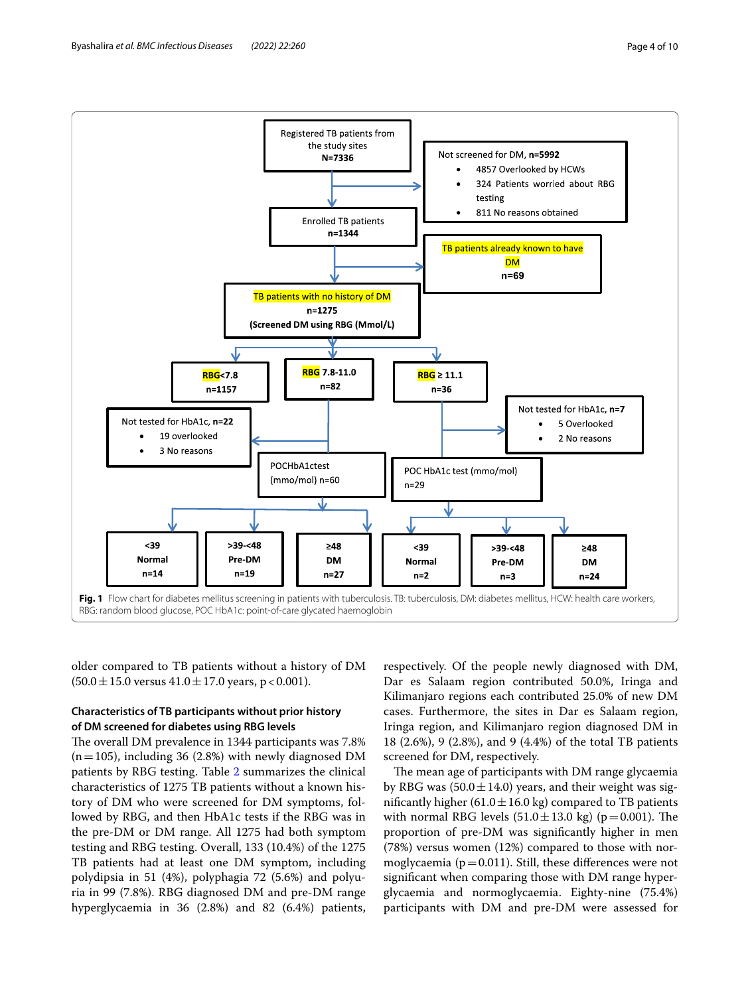Byashalira *et al. BMC Infectious Diseases (2022) 22:260* Page 4 of 10



<span id="page-3-0"></span>older compared to TB patients without a history of DM  $(50.0 \pm 15.0 \text{ versus } 41.0 \pm 17.0 \text{ years}, p < 0.001).$ 

## **Characteristics of TB participants without prior history of DM screened for diabetes using RBG levels**

The overall DM prevalence in 1344 participants was 7.8%  $(n=105)$ , including 36 (2.8%) with newly diagnosed DM patients by RBG testing. Table [2](#page-5-0) summarizes the clinical characteristics of 1275 TB patients without a known history of DM who were screened for DM symptoms, followed by RBG, and then HbA1c tests if the RBG was in the pre-DM or DM range. All 1275 had both symptom testing and RBG testing. Overall, 133 (10.4%) of the 1275 TB patients had at least one DM symptom, including polydipsia in 51 (4%), polyphagia 72 (5.6%) and polyuria in 99 (7.8%). RBG diagnosed DM and pre-DM range hyperglycaemia in 36 (2.8%) and 82 (6.4%) patients,

respectively. Of the people newly diagnosed with DM, Dar es Salaam region contributed 50.0%, Iringa and Kilimanjaro regions each contributed 25.0% of new DM cases. Furthermore, the sites in Dar es Salaam region, Iringa region, and Kilimanjaro region diagnosed DM in 18 (2.6%), 9 (2.8%), and 9 (4.4%) of the total TB patients screened for DM, respectively.

The mean age of participants with DM range glycaemia by RBG was  $(50.0 \pm 14.0)$  years, and their weight was significantly higher (61.0  $\pm$  16.0 kg) compared to TB patients with normal RBG levels  $(51.0 \pm 13.0 \text{ kg})$  (p=0.001). The proportion of pre-DM was signifcantly higher in men (78%) versus women (12%) compared to those with normoglycaemia ( $p=0.011$ ). Still, these differences were not signifcant when comparing those with DM range hyperglycaemia and normoglycaemia. Eighty-nine (75.4%) participants with DM and pre-DM were assessed for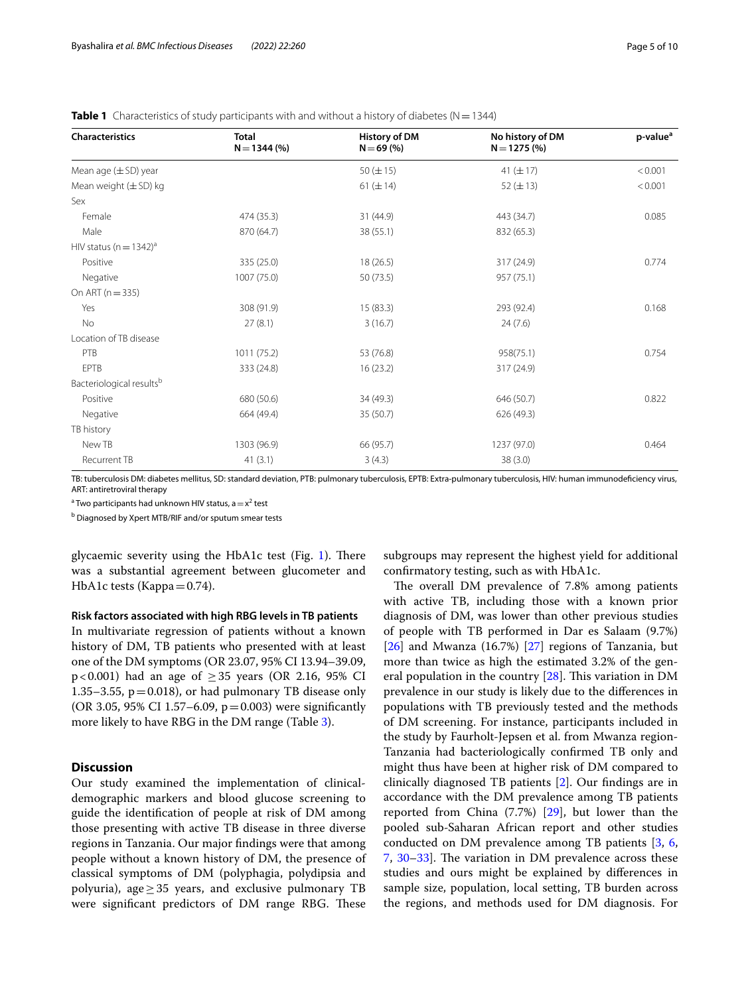| <b>Characteristics</b>                 | <b>Total</b><br>$N = 1344$ (%) | <b>History of DM</b><br>$N = 69(%)$ | No history of DM<br>$N = 1275(%)$ | p-value <sup>a</sup> |
|----------------------------------------|--------------------------------|-------------------------------------|-----------------------------------|----------------------|
| Mean age $(\pm SD)$ year               |                                | 50 $(\pm 15)$                       | 41 $(\pm 17)$                     | < 0.001              |
| Mean weight $(\pm SD)$ kg              |                                | 61 $(\pm 14)$                       | 52 ( $\pm$ 13)                    | < 0.001              |
| Sex                                    |                                |                                     |                                   |                      |
| Female                                 | 474 (35.3)                     | 31 (44.9)                           | 443 (34.7)                        | 0.085                |
| Male                                   | 870 (64.7)                     | 38 (55.1)                           | 832 (65.3)                        |                      |
| HIV status ( $n = 1342$ ) <sup>a</sup> |                                |                                     |                                   |                      |
| Positive                               | 335 (25.0)                     | 18 (26.5)                           | 317 (24.9)                        | 0.774                |
| Negative                               | 1007 (75.0)                    | 50 (73.5)                           | 957 (75.1)                        |                      |
| On ART $(n = 335)$                     |                                |                                     |                                   |                      |
| Yes                                    | 308 (91.9)                     | 15(83.3)                            | 293 (92.4)                        | 0.168                |
| No                                     | 27(8.1)                        | 3(16.7)                             | 24(7.6)                           |                      |
| Location of TB disease                 |                                |                                     |                                   |                      |
| PTB                                    | 1011 (75.2)                    | 53 (76.8)                           | 958(75.1)                         | 0.754                |
| EPTB                                   | 333 (24.8)                     | 16(23.2)                            | 317 (24.9)                        |                      |
| Bacteriological results <sup>b</sup>   |                                |                                     |                                   |                      |
| Positive                               | 680 (50.6)                     | 34 (49.3)                           | 646 (50.7)                        | 0.822                |
| Negative                               | 664 (49.4)                     | 35 (50.7)                           | 626 (49.3)                        |                      |
| TB history                             |                                |                                     |                                   |                      |
| New TB                                 | 1303 (96.9)                    | 66 (95.7)                           | 1237 (97.0)                       | 0.464                |
| <b>Recurrent TB</b>                    | 41(3.1)                        | 3(4.3)                              | 38(3.0)                           |                      |

<span id="page-4-0"></span>**Table 1** Characteristics of study participants with and without a history of diabetes (N=1344)

TB: tuberculosis DM: diabetes mellitus, SD: standard deviation, PTB: pulmonary tuberculosis, EPTB: Extra-pulmonary tuberculosis, HIV: human immunodefciency virus, ART: antiretroviral therapy

<sup>a</sup> Two participants had unknown HIV status, a $=x^2$  test

<sup>b</sup> Diagnosed by Xpert MTB/RIF and/or sputum smear tests

glycaemic severity using the HbA1c test (Fig. [1\)](#page-3-0). There was a substantial agreement between glucometer and HbA1c tests (Kappa $=0.74$ ).

### **Risk factors associated with high RBG levels in TB patients**

In multivariate regression of patients without a known history of DM, TB patients who presented with at least one of the DM symptoms (OR 23.07, 95% CI 13.94–39.09, p<0.001) had an age of  $\geq$  35 years (OR 2.16, 95% CI 1.35–3.55,  $p=0.018$ ), or had pulmonary TB disease only (OR 3.05, 95% CI 1.57–6.09,  $p = 0.003$ ) were significantly more likely to have RBG in the DM range (Table [3](#page-6-0)).

## **Discussion**

Our study examined the implementation of clinicaldemographic markers and blood glucose screening to guide the identifcation of people at risk of DM among those presenting with active TB disease in three diverse regions in Tanzania. Our major fndings were that among people without a known history of DM, the presence of classical symptoms of DM (polyphagia, polydipsia and polyuria), age $\geq$  35 years, and exclusive pulmonary TB were significant predictors of DM range RBG. These

subgroups may represent the highest yield for additional confrmatory testing, such as with HbA1c.

The overall DM prevalence of 7.8% among patients with active TB, including those with a known prior diagnosis of DM, was lower than other previous studies of people with TB performed in Dar es Salaam (9.7%)  $[26]$  $[26]$  and Mwanza  $(16.7%)$   $[27]$  $[27]$  regions of Tanzania, but more than twice as high the estimated 3.2% of the general population in the country  $[28]$  $[28]$ . This variation in DM prevalence in our study is likely due to the diferences in populations with TB previously tested and the methods of DM screening. For instance, participants included in the study by Faurholt-Jepsen et al. from Mwanza region-Tanzania had bacteriologically confrmed TB only and might thus have been at higher risk of DM compared to clinically diagnosed TB patients [\[2](#page-8-10)]. Our fndings are in accordance with the DM prevalence among TB patients reported from China (7.7%) [\[29](#page-9-0)], but lower than the pooled sub-Saharan African report and other studies conducted on DM prevalence among TB patients [[3,](#page-8-1) [6](#page-8-4), [7,](#page-8-5)  $30-33$  $30-33$ . The variation in DM prevalence across these studies and ours might be explained by diferences in sample size, population, local setting, TB burden across the regions, and methods used for DM diagnosis. For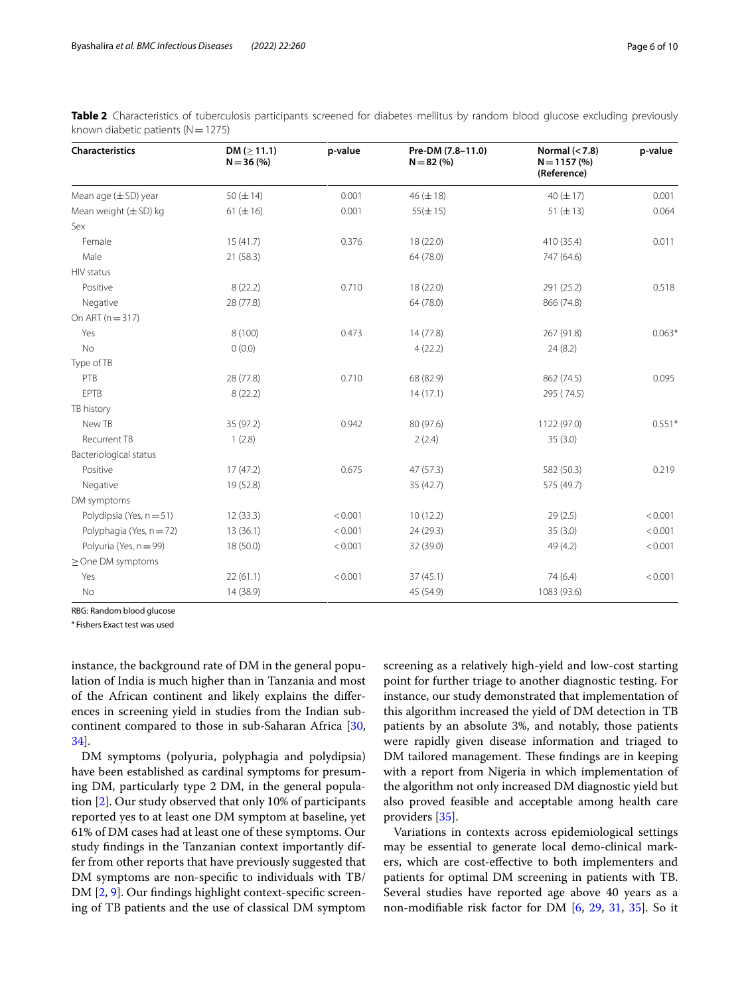| Characteristics           | DM ( $\geq$ 11.1)<br>$N = 36(%)$ | p-value | Pre-DM (7.8-11.0)<br>$N = 82(%)$ | Normal $(7.8)$<br>$N = 1157(%)$<br>(Reference) | p-value  |
|---------------------------|----------------------------------|---------|----------------------------------|------------------------------------------------|----------|
| Mean age $(\pm SD)$ year  | 50 $(\pm 14)$                    | 0.001   | $46 (\pm 18)$                    | 40 $(\pm 17)$                                  | 0.001    |
| Mean weight $(\pm$ SD) kg | $61 (\pm 16)$                    | 0.001   | $55(\pm 15)$                     | 51 ( $\pm$ 13)                                 | 0.064    |
| Sex                       |                                  |         |                                  |                                                |          |
| Female                    | 15(41.7)                         | 0.376   | 18 (22.0)                        | 410 (35.4)                                     | 0.011    |
| Male                      | 21 (58.3)                        |         | 64 (78.0)                        | 747 (64.6)                                     |          |
| HIV status                |                                  |         |                                  |                                                |          |
| Positive                  | 8(22.2)                          | 0.710   | 18 (22.0)                        | 291 (25.2)                                     | 0.518    |
| Negative                  | 28 (77.8)                        |         | 64 (78.0)                        | 866 (74.8)                                     |          |
| On ART ( $n = 317$ )      |                                  |         |                                  |                                                |          |
| Yes                       | 8 (100)                          | 0.473   | 14 (77.8)                        | 267 (91.8)                                     | $0.063*$ |
| No                        | 0(0.0)                           |         | 4(22.2)                          | 24(8.2)                                        |          |
| Type of TB                |                                  |         |                                  |                                                |          |
| PTB                       | 28 (77.8)                        | 0.710   | 68 (82.9)                        | 862 (74.5)                                     | 0.095    |
| <b>EPTB</b>               | 8(22.2)                          |         | 14(17.1)                         | 295 (74.5)                                     |          |
| TB history                |                                  |         |                                  |                                                |          |
| New TB                    | 35 (97.2)                        | 0.942   | 80 (97.6)                        | 1122 (97.0)                                    | $0.551*$ |
| Recurrent TB              | 1(2.8)                           |         | 2(2.4)                           | 35(3.0)                                        |          |
| Bacteriological status    |                                  |         |                                  |                                                |          |
| Positive                  | 17(47.2)                         | 0.675   | 47 (57.3)                        | 582 (50.3)                                     | 0.219    |
| Negative                  | 19 (52.8)                        |         | 35 (42.7)                        | 575 (49.7)                                     |          |
| DM symptoms               |                                  |         |                                  |                                                |          |
| Polydipsia (Yes, n = 51)  | 12(33.3)                         | < 0.001 | 10(12.2)                         | 29(2.5)                                        | < 0.001  |
| Polyphagia (Yes, n = 72)  | 13(36.1)                         | < 0.001 | 24 (29.3)                        | 35(3.0)                                        | < 0.001  |
| Polyuria (Yes, n = 99)    | 18 (50.0)                        | < 0.001 | 32 (39.0)                        | 49 (4.2)                                       | < 0.001  |
| $\geq$ One DM symptoms    |                                  |         |                                  |                                                |          |
| Yes                       | 22(61.1)                         | < 0.001 | 37(45.1)                         | 74 (6.4)                                       | < 0.001  |
| No                        | 14 (38.9)                        |         | 45 (54.9)                        | 1083 (93.6)                                    |          |

<span id="page-5-0"></span>**Table 2** Characteristics of tuberculosis participants screened for diabetes mellitus by random blood glucose excluding previously known diabetic patients ( $N=1275$ )

RBG: Random blood glucose

<sup>a</sup> Fishers Exact test was used

instance, the background rate of DM in the general population of India is much higher than in Tanzania and most of the African continent and likely explains the diferences in screening yield in studies from the Indian subcontinent compared to those in sub-Saharan Africa [\[30](#page-9-1), [34\]](#page-9-3).

DM symptoms (polyuria, polyphagia and polydipsia) have been established as cardinal symptoms for presuming DM, particularly type 2 DM, in the general population [[2\]](#page-8-10). Our study observed that only 10% of participants reported yes to at least one DM symptom at baseline, yet 61% of DM cases had at least one of these symptoms. Our study fndings in the Tanzanian context importantly differ from other reports that have previously suggested that DM symptoms are non-specifc to individuals with TB/ DM [\[2](#page-8-10), [9\]](#page-8-7). Our findings highlight context-specific screening of TB patients and the use of classical DM symptom

screening as a relatively high-yield and low-cost starting point for further triage to another diagnostic testing. For instance, our study demonstrated that implementation of this algorithm increased the yield of DM detection in TB patients by an absolute 3%, and notably, those patients were rapidly given disease information and triaged to DM tailored management. These findings are in keeping with a report from Nigeria in which implementation of the algorithm not only increased DM diagnostic yield but also proved feasible and acceptable among health care providers [[35\]](#page-9-4).

Variations in contexts across epidemiological settings may be essential to generate local demo-clinical markers, which are cost-efective to both implementers and patients for optimal DM screening in patients with TB. Several studies have reported age above 40 years as a non-modifable risk factor for DM [\[6](#page-8-4), [29,](#page-9-0) [31,](#page-9-5) [35](#page-9-4)]. So it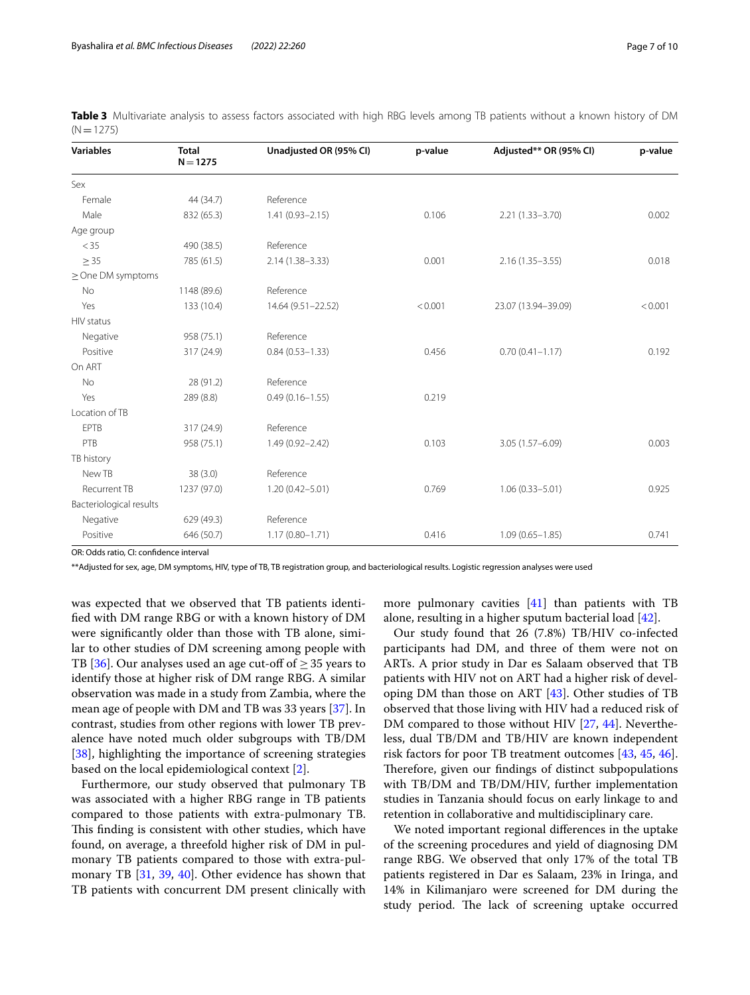| <b>Variables</b>        | <b>Total</b><br>$N = 1275$ | Unadjusted OR (95% CI) | p-value | Adjusted** OR (95% CI) | p-value |
|-------------------------|----------------------------|------------------------|---------|------------------------|---------|
| Sex                     |                            |                        |         |                        |         |
| Female                  | 44 (34.7)                  | Reference              |         |                        |         |
| Male                    | 832 (65.3)                 | $1.41(0.93 - 2.15)$    | 0.106   | $2.21(1.33 - 3.70)$    | 0.002   |
| Age group               |                            |                        |         |                        |         |
| < 35                    | 490 (38.5)                 | Reference              |         |                        |         |
| $\geq$ 35               | 785 (61.5)                 | 2.14 (1.38-3.33)       | 0.001   | $2.16(1.35 - 3.55)$    | 0.018   |
| $\geq$ One DM symptoms  |                            |                        |         |                        |         |
| No                      | 1148 (89.6)                | Reference              |         |                        |         |
| Yes                     | 133 (10.4)                 | 14.64 (9.51-22.52)     | < 0.001 | 23.07 (13.94-39.09)    | < 0.001 |
| HIV status              |                            |                        |         |                        |         |
| Negative                | 958 (75.1)                 | Reference              |         |                        |         |
| Positive                | 317 (24.9)                 | $0.84(0.53 - 1.33)$    | 0.456   | $0.70(0.41 - 1.17)$    | 0.192   |
| On ART                  |                            |                        |         |                        |         |
| <b>No</b>               | 28 (91.2)                  | Reference              |         |                        |         |
| Yes                     | 289 (8.8)                  | $0.49(0.16 - 1.55)$    | 0.219   |                        |         |
| Location of TB          |                            |                        |         |                        |         |
| <b>EPTB</b>             | 317 (24.9)                 | Reference              |         |                        |         |
| PTB                     | 958 (75.1)                 | 1.49 (0.92-2.42)       | 0.103   | 3.05 (1.57-6.09)       | 0.003   |
| TB history              |                            |                        |         |                        |         |
| New TB                  | 38(3.0)                    | Reference              |         |                        |         |
| <b>Recurrent TB</b>     | 1237 (97.0)                | $1.20(0.42 - 5.01)$    | 0.769   | $1.06(0.33 - 5.01)$    | 0.925   |
| Bacteriological results |                            |                        |         |                        |         |
| Negative                | 629 (49.3)                 | Reference              |         |                        |         |
| Positive                | 646 (50.7)                 | $1.17(0.80 - 1.71)$    | 0.416   | $1.09(0.65 - 1.85)$    | 0.741   |

<span id="page-6-0"></span>**Table 3** Multivariate analysis to assess factors associated with high RBG levels among TB patients without a known history of DM  $(N=1275)$ 

OR: Odds ratio, CI: confdence interval

\*\*Adjusted for sex, age, DM symptoms, HIV, type of TB, TB registration group, and bacteriological results. Logistic regression analyses were used

was expected that we observed that TB patients identifed with DM range RBG or with a known history of DM were signifcantly older than those with TB alone, similar to other studies of DM screening among people with TB [[36\]](#page-9-6). Our analyses used an age cut-off of  $\geq$  35 years to identify those at higher risk of DM range RBG. A similar observation was made in a study from Zambia, where the mean age of people with DM and TB was 33 years [\[37](#page-9-7)]. In contrast, studies from other regions with lower TB prevalence have noted much older subgroups with TB/DM [[38\]](#page-9-8), highlighting the importance of screening strategies based on the local epidemiological context [[2](#page-8-10)].

Furthermore, our study observed that pulmonary TB was associated with a higher RBG range in TB patients compared to those patients with extra-pulmonary TB. This finding is consistent with other studies, which have found, on average, a threefold higher risk of DM in pulmonary TB patients compared to those with extra-pulmonary TB [[31,](#page-9-5) [39](#page-9-9), [40](#page-9-10)]. Other evidence has shown that TB patients with concurrent DM present clinically with

more pulmonary cavities  $[41]$  $[41]$  than patients with TB alone, resulting in a higher sputum bacterial load [\[42](#page-9-12)].

Our study found that 26 (7.8%) TB/HIV co-infected participants had DM, and three of them were not on ARTs. A prior study in Dar es Salaam observed that TB patients with HIV not on ART had a higher risk of developing DM than those on ART [\[43\]](#page-9-13). Other studies of TB observed that those living with HIV had a reduced risk of DM compared to those without HIV [[27](#page-8-26), [44](#page-9-14)]. Nevertheless, dual TB/DM and TB/HIV are known independent risk factors for poor TB treatment outcomes [[43,](#page-9-13) [45](#page-9-15), [46](#page-9-16)]. Therefore, given our findings of distinct subpopulations with TB/DM and TB/DM/HIV, further implementation studies in Tanzania should focus on early linkage to and retention in collaborative and multidisciplinary care.

We noted important regional diferences in the uptake of the screening procedures and yield of diagnosing DM range RBG. We observed that only 17% of the total TB patients registered in Dar es Salaam, 23% in Iringa, and 14% in Kilimanjaro were screened for DM during the study period. The lack of screening uptake occurred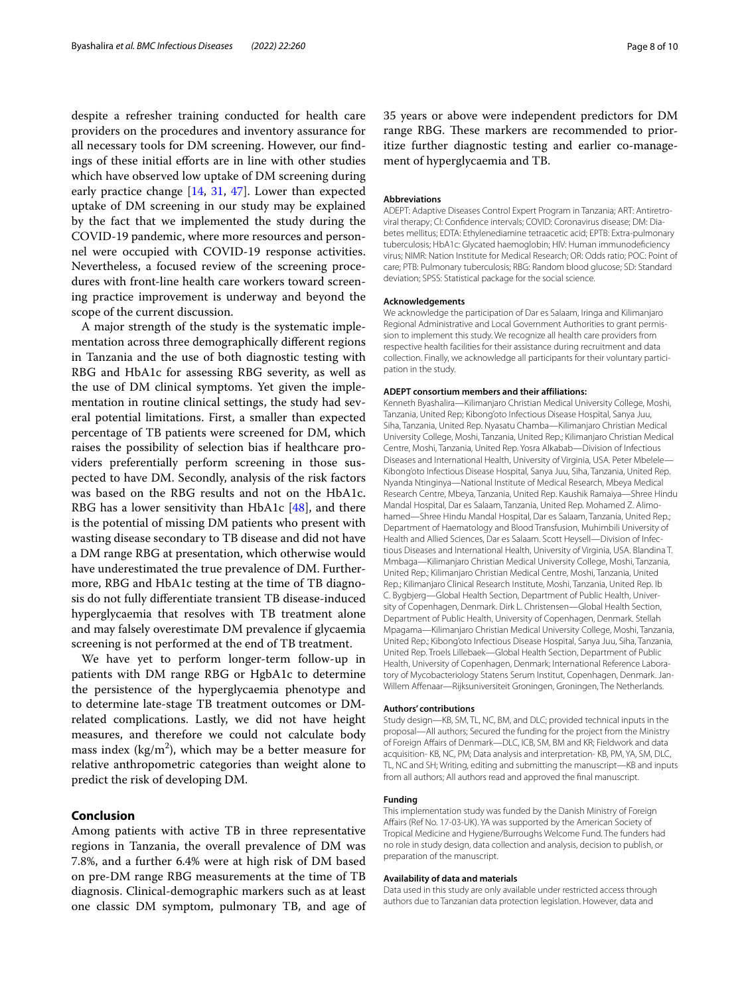despite a refresher training conducted for health care providers on the procedures and inventory assurance for all necessary tools for DM screening. However, our fndings of these initial efforts are in line with other studies which have observed low uptake of DM screening during early practice change [\[14,](#page-8-13) [31,](#page-9-5) [47](#page-9-17)]. Lower than expected uptake of DM screening in our study may be explained by the fact that we implemented the study during the COVID-19 pandemic, where more resources and personnel were occupied with COVID-19 response activities. Nevertheless, a focused review of the screening procedures with front-line health care workers toward screening practice improvement is underway and beyond the scope of the current discussion.

A major strength of the study is the systematic implementation across three demographically diferent regions in Tanzania and the use of both diagnostic testing with RBG and HbA1c for assessing RBG severity, as well as the use of DM clinical symptoms. Yet given the implementation in routine clinical settings, the study had several potential limitations. First, a smaller than expected percentage of TB patients were screened for DM, which raises the possibility of selection bias if healthcare providers preferentially perform screening in those suspected to have DM. Secondly, analysis of the risk factors was based on the RBG results and not on the HbA1c. RBG has a lower sensitivity than HbA1c [\[48](#page-9-18)], and there is the potential of missing DM patients who present with wasting disease secondary to TB disease and did not have a DM range RBG at presentation, which otherwise would have underestimated the true prevalence of DM. Furthermore, RBG and HbA1c testing at the time of TB diagnosis do not fully diferentiate transient TB disease-induced hyperglycaemia that resolves with TB treatment alone and may falsely overestimate DM prevalence if glycaemia screening is not performed at the end of TB treatment.

We have yet to perform longer-term follow-up in patients with DM range RBG or HgbA1c to determine the persistence of the hyperglycaemia phenotype and to determine late-stage TB treatment outcomes or DMrelated complications. Lastly, we did not have height measures, and therefore we could not calculate body mass index (kg/m<sup>2</sup>), which may be a better measure for relative anthropometric categories than weight alone to predict the risk of developing DM.

## **Conclusion**

Among patients with active TB in three representative regions in Tanzania, the overall prevalence of DM was 7.8%, and a further 6.4% were at high risk of DM based on pre-DM range RBG measurements at the time of TB diagnosis. Clinical-demographic markers such as at least one classic DM symptom, pulmonary TB, and age of 35 years or above were independent predictors for DM range RBG. These markers are recommended to prioritize further diagnostic testing and earlier co-management of hyperglycaemia and TB.

#### **Abbreviations**

ADEPT: Adaptive Diseases Control Expert Program in Tanzania; ART: Antiretroviral therapy; CI: Confdence intervals; COVID: Coronavirus disease; DM: Diabetes mellitus; EDTA: Ethylenediamine tetraacetic acid; EPTB: Extra-pulmonary tuberculosis; HbA1c: Glycated haemoglobin; HIV: Human immunodefciency virus; NIMR: Nation Institute for Medical Research; OR: Odds ratio; POC: Point of care; PTB: Pulmonary tuberculosis; RBG: Random blood glucose; SD: Standard deviation; SPSS: Statistical package for the social science.

#### **Acknowledgements**

We acknowledge the participation of Dar es Salaam, Iringa and Kilimanjaro Regional Administrative and Local Government Authorities to grant permission to implement this study. We recognize all health care providers from respective health facilities for their assistance during recruitment and data collection. Finally, we acknowledge all participants for their voluntary participation in the study.

#### **ADEPT consortium members and their affiliations:**

Kenneth Byashalira—Kilimanjaro Christian Medical University College, Moshi, Tanzania, United Rep; Kibong'oto Infectious Disease Hospital, Sanya Juu, Siha, Tanzania, United Rep. Nyasatu Chamba—Kilimanjaro Christian Medical University College, Moshi, Tanzania, United Rep.; Kilimanjaro Christian Medical Centre, Moshi, Tanzania, United Rep. Yosra Alkabab—Division of Infectious Diseases and International Health, University of Virginia, USA. Peter Mbelele— Kibong'oto Infectious Disease Hospital, Sanya Juu, Siha, Tanzania, United Rep. Nyanda Ntinginya—National Institute of Medical Research, Mbeya Medical Research Centre, Mbeya, Tanzania, United Rep. Kaushik Ramaiya—Shree Hindu Mandal Hospital, Dar es Salaam, Tanzania, United Rep. Mohamed Z. Alimohamed—Shree Hindu Mandal Hospital, Dar es Salaam, Tanzania, United Rep.; Department of Haematology and Blood Transfusion, Muhimbili University of Health and Allied Sciences, Dar es Salaam. Scott Heysell—Division of Infectious Diseases and International Health, University of Virginia, USA. Blandina T. Mmbaga—Kilimanjaro Christian Medical University College, Moshi, Tanzania, United Rep.; Kilimanjaro Christian Medical Centre, Moshi, Tanzania, United Rep.; Kilimanjaro Clinical Research Institute, Moshi, Tanzania, United Rep. Ib C. Bygbjerg—Global Health Section, Department of Public Health, University of Copenhagen, Denmark. Dirk L. Christensen—Global Health Section, Department of Public Health, University of Copenhagen, Denmark. Stellah Mpagama—Kilimanjaro Christian Medical University College, Moshi, Tanzania, United Rep.; Kibong'oto Infectious Disease Hospital, Sanya Juu, Siha, Tanzania, United Rep. Troels Lillebaek—Global Health Section, Department of Public Health, University of Copenhagen, Denmark; International Reference Laboratory of Mycobacteriology Statens Serum Institut, Copenhagen, Denmark. Jan-Willem Afenaar—Rijksuniversiteit Groningen, Groningen, The Netherlands.

#### **Authors' contributions**

Study design—KB, SM, TL, NC, BM, and DLC; provided technical inputs in the proposal—All authors; Secured the funding for the project from the Ministry of Foreign Afairs of Denmark—DLC, ICB, SM, BM and KR; Fieldwork and data acquisition- KB, NC, PM; Data analysis and interpretation- KB, PM, YA, SM, DLC, TL, NC and SH; Writing, editing and submitting the manuscript—KB and inputs from all authors; All authors read and approved the fnal manuscript.

#### **Funding**

This implementation study was funded by the Danish Ministry of Foreign Afairs (Ref No. 17-03-UK). YA was supported by the American Society of Tropical Medicine and Hygiene/Burroughs Welcome Fund. The funders had no role in study design, data collection and analysis, decision to publish, or preparation of the manuscript.

#### **Availability of data and materials**

Data used in this study are only available under restricted access through authors due to Tanzanian data protection legislation. However, data and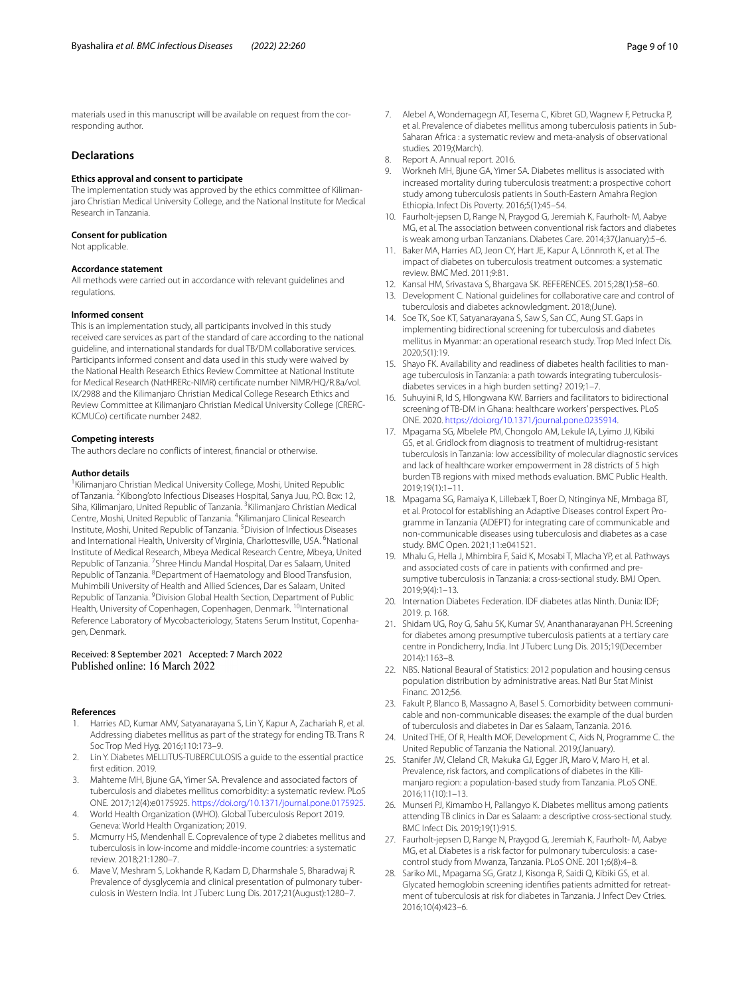materials used in this manuscript will be available on request from the corresponding author.

#### **Declarations**

#### **Ethics approval and consent to participate**

The implementation study was approved by the ethics committee of Kilimanjaro Christian Medical University College, and the National Institute for Medical Research in Tanzania.

#### **Consent for publication**

Not applicable.

#### **Accordance statement**

All methods were carried out in accordance with relevant guidelines and regulations.

#### **Informed consent**

This is an implementation study, all participants involved in this study received care services as part of the standard of care according to the national guideline, and international standards for dual TB/DM collaborative services. Participants informed consent and data used in this study were waived by the National Health Research Ethics Review Committee at National Institute for Medical Research (NatHRERc-NIMR) certifcate number NIMR/HQ/R.8a/vol. IX/2988 and the Kilimanjaro Christian Medical College Research Ethics and Review Committee at Kilimanjaro Christian Medical University College (CRERC-KCMUCo) certifcate number 2482.

#### **Competing interests**

The authors declare no conficts of interest, fnancial or otherwise.

#### **Author details**

<sup>1</sup> Kilimanjaro Christian Medical University College, Moshi, United Republic of Tanzania. <sup>2</sup> Kibong'oto Infectious Diseases Hospital, Sanya Juu, P.O. Box: 12, Siha, Kilimanjaro, United Republic of Tanzania. <sup>3</sup>Kilimanjaro Christian Medical Centre, Moshi, United Republic of Tanzania. <sup>4</sup> Kilimanjaro Clinical Research Institute, Moshi, United Republic of Tanzania. <sup>5</sup> Division of Infectious Diseases and International Health, University of Virginia, Charlottesville, USA. <sup>6</sup>National Institute of Medical Research, Mbeya Medical Research Centre, Mbeya, United Republic of Tanzania. <sup>7</sup> Shree Hindu Mandal Hospital, Dar es Salaam, United Republic of Tanzania. <sup>8</sup> Department of Haematology and Blood Transfusion, Muhimbili University of Health and Allied Sciences, Dar es Salaam, United Republic of Tanzania. <sup>9</sup> Division Global Health Section, Department of Public Health, University of Copenhagen, Copenhagen, Denmark. <sup>10</sup>International Reference Laboratory of Mycobacteriology, Statens Serum Institut, Copenhagen, Denmark.

## Received: 8 September 2021 Accepted: 7 March 2022

#### **References**

- <span id="page-8-0"></span>1. Harries AD, Kumar AMV, Satyanarayana S, Lin Y, Kapur A, Zachariah R, et al. Addressing diabetes mellitus as part of the strategy for ending TB. Trans R Soc Trop Med Hyg. 2016;110:173–9.
- <span id="page-8-10"></span>2. Lin Y. Diabetes MELLITUS-TUBERCULOSIS a guide to the essential practice frst edition. 2019.
- <span id="page-8-1"></span>3. Mahteme MH, Bjune GA, Yimer SA. Prevalence and associated factors of tuberculosis and diabetes mellitus comorbidity: a systematic review. PLoS ONE. 2017;12(4):e0175925. [https://doi.org/10.1371/journal.pone.0175925.](https://doi.org/10.1371/journal.pone.0175925)
- <span id="page-8-2"></span>4. World Health Organization (WHO). Global Tuberculosis Report 2019. Geneva: World Health Organization; 2019.
- <span id="page-8-3"></span>5. Mcmurry HS, Mendenhall E. Coprevalence of type 2 diabetes mellitus and tuberculosis in low-income and middle-income countries: a systematic review. 2018;21:1280–7.
- <span id="page-8-4"></span>6. Mave V, Meshram S, Lokhande R, Kadam D, Dharmshale S, Bharadwaj R. Prevalence of dysglycemia and clinical presentation of pulmonary tuberculosis in Western India. Int J Tuberc Lung Dis. 2017;21(August):1280–7.
- <span id="page-8-5"></span>7. Alebel A, Wondemagegn AT, Tesema C, Kibret GD, Wagnew F, Petrucka P, et al. Prevalence of diabetes mellitus among tuberculosis patients in Sub-Saharan Africa : a systematic review and meta-analysis of observational studies. 2019;(March).
- <span id="page-8-6"></span>8. Report A. Annual report. 2016.
- <span id="page-8-7"></span>9. Workneh MH, Bjune GA, Yimer SA. Diabetes mellitus is associated with increased mortality during tuberculosis treatment: a prospective cohort study among tuberculosis patients in South-Eastern Amahra Region Ethiopia. Infect Dis Poverty. 2016;5(1):45–54.
- <span id="page-8-8"></span>10. Faurholt-jepsen D, Range N, Praygod G, Jeremiah K, Faurholt- M, Aabye MG, et al. The association between conventional risk factors and diabetes is weak among urban Tanzanians. Diabetes Care. 2014;37(January):5–6.
- <span id="page-8-9"></span>11. Baker MA, Harries AD, Jeon CY, Hart JE, Kapur A, Lönnroth K, et al. The impact of diabetes on tuberculosis treatment outcomes: a systematic review. BMC Med. 2011;9:81.
- <span id="page-8-11"></span>12. Kansal HM, Srivastava S, Bhargava SK. REFERENCES. 2015;28(1):58–60.
- <span id="page-8-12"></span>13. Development C. National guidelines for collaborative care and control of tuberculosis and diabetes acknowledgment. 2018;(June).
- <span id="page-8-13"></span>14. Soe TK, Soe KT, Satyanarayana S, Saw S, San CC, Aung ST. Gaps in implementing bidirectional screening for tuberculosis and diabetes mellitus in Myanmar: an operational research study. Trop Med Infect Dis. 2020;5(1):19.
- <span id="page-8-14"></span>15. Shayo FK. Availability and readiness of diabetes health facilities to manage tuberculosis in Tanzania: a path towards integrating tuberculosisdiabetes services in a high burden setting? 2019;1–7.
- <span id="page-8-15"></span>16. Suhuyini R, Id S, Hlongwana KW. Barriers and facilitators to bidirectional screening of TB-DM in Ghana: healthcare workers' perspectives. PLoS ONE. 2020. <https://doi.org/10.1371/journal.pone.0235914>.
- <span id="page-8-16"></span>17. Mpagama SG, Mbelele PM, Chongolo AM, Lekule IA, Lyimo JJ, Kibiki GS, et al. Gridlock from diagnosis to treatment of multidrug-resistant tuberculosis in Tanzania: low accessibility of molecular diagnostic services and lack of healthcare worker empowerment in 28 districts of 5 high burden TB regions with mixed methods evaluation. BMC Public Health. 2019;19(1):1–11.
- <span id="page-8-17"></span>18. Mpagama SG, Ramaiya K, Lillebæk T, Boer D, Ntinginya NE, Mmbaga BT, et al. Protocol for establishing an Adaptive Diseases control Expert Programme in Tanzania (ADEPT) for integrating care of communicable and non-communicable diseases using tuberculosis and diabetes as a case study. BMC Open. 2021;11:e041521.
- <span id="page-8-18"></span>19. Mhalu G, Hella J, Mhimbira F, Said K, Mosabi T, Mlacha YP, et al. Pathways and associated costs of care in patients with confrmed and presumptive tuberculosis in Tanzania: a cross-sectional study. BMJ Open. 2019;9(4):1–13.
- <span id="page-8-19"></span>20. Internation Diabetes Federation. IDF diabetes atlas Ninth. Dunia: IDF; 2019. p. 168.
- <span id="page-8-20"></span>21. Shidam UG, Roy G, Sahu SK, Kumar SV, Ananthanarayanan PH. Screening for diabetes among presumptive tuberculosis patients at a tertiary care centre in Pondicherry, India. Int J Tuberc Lung Dis. 2015;19(December 2014):1163–8.
- <span id="page-8-21"></span>22. NBS. National Beaural of Statistics: 2012 population and housing census population distribution by administrative areas. Natl Bur Stat Minist Financ. 2012;56.
- <span id="page-8-22"></span>23. Fakult P, Blanco B, Massagno A, Basel S. Comorbidity between communicable and non-communicable diseases: the example of the dual burden of tuberculosis and diabetes in Dar es Salaam, Tanzania. 2016.
- <span id="page-8-23"></span>24. United THE, Of R, Health MOF, Development C, Aids N, Programme C. the United Republic of Tanzania the National. 2019;(January).
- <span id="page-8-24"></span>25. Stanifer JW, Cleland CR, Makuka GJ, Egger JR, Maro V, Maro H, et al. Prevalence, risk factors, and complications of diabetes in the Kilimanjaro region: a population-based study from Tanzania. PLoS ONE. 2016;11(10):1–13.
- <span id="page-8-25"></span>26. Munseri PJ, Kimambo H, Pallangyo K. Diabetes mellitus among patients attending TB clinics in Dar es Salaam: a descriptive cross-sectional study. BMC Infect Dis. 2019;19(1):915.
- <span id="page-8-26"></span>27. Faurholt-jepsen D, Range N, Praygod G, Jeremiah K, Faurholt- M, Aabye MG, et al. Diabetes is a risk factor for pulmonary tuberculosis: a casecontrol study from Mwanza, Tanzania. PLoS ONE. 2011;6(8):4–8.
- <span id="page-8-27"></span>28. Sariko ML, Mpagama SG, Gratz J, Kisonga R, Saidi Q, Kibiki GS, et al. Glycated hemoglobin screening identifes patients admitted for retreatment of tuberculosis at risk for diabetes in Tanzania. J Infect Dev Ctries. 2016;10(4):423–6.